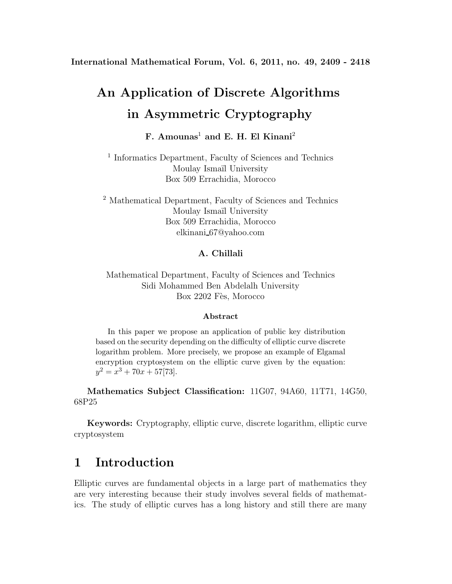**International Mathematical Forum, Vol. 6, 2011, no. 49, 2409 - 2418**

# **An Application of Discrete Algorithms in Asymmetric Cryptography**

## **F. Amounas**<sup>1</sup> **and E. H. El Kinani**<sup>2</sup>

<sup>1</sup> Informatics Department, Faculty of Sciences and Technics Moulay Ismail University Box 509 Errachidia, Morocco

<sup>2</sup> Mathematical Department, Faculty of Sciences and Technics Moulay Ismail University Box 509 Errachidia, Morocco elkinani 67@yahoo.com

#### **A. Chillali**

Mathematical Department, Faculty of Sciences and Technics Sidi Mohammed Ben Abdelalh University Box 2202 Fès, Morocco

#### **Abstract**

In this paper we propose an application of public key distribution based on the security depending on the difficulty of elliptic curve discrete logarithm problem. More precisely, we propose an example of Elgamal encryption cryptosystem on the elliptic curve given by the equation:  $y^2 = x^3 + 70x + 57[73]$ .

**Mathematics Subject Classification:** 11G07, 94A60, 11T71, 14G50, 68P25

**Keywords:** Cryptography, elliptic curve, discrete logarithm, elliptic curve cryptosystem

## **1 Introduction**

Elliptic curves are fundamental objects in a large part of mathematics they are very interesting because their study involves several fields of mathematics. The study of elliptic curves has a long history and still there are many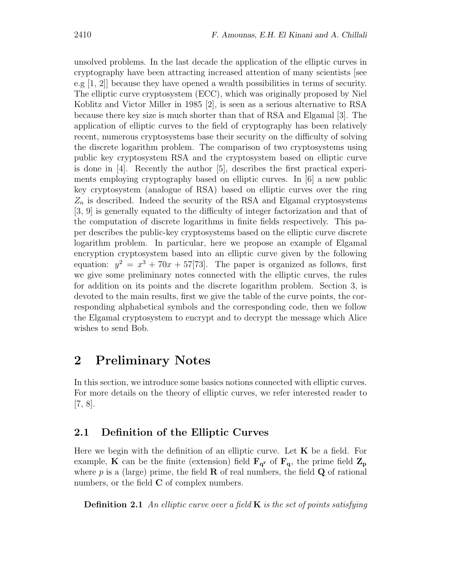unsolved problems. In the last decade the application of the elliptic curves in cryptography have been attracting increased attention of many scientists [see e.g [1, 2]] because they have opened a wealth possibilities in terms of security. The elliptic curve cryptosystem (ECC), which was originally proposed by Niel Koblitz and Victor Miller in 1985 [2], is seen as a serious alternative to RSA because there key size is much shorter than that of RSA and Elgamal [3]. The application of elliptic curves to the field of cryptography has been relatively recent, numerous cryptosystems base their security on the difficulty of solving the discrete logarithm problem. The comparison of two cryptosystems using public key cryptosystem RSA and the cryptosystem based on elliptic curve is done in [4]. Recently the author [5], describes the first practical experiments employing cryptography based on elliptic curves. In [6] a new public key cryptosystem (analogue of RSA) based on elliptic curves over the ring  $Z_n$  is described. Indeed the security of the RSA and Elgamal cryptosystems [3, 9] is generally equated to the difficulty of integer factorization and that of the computation of discrete logarithms in finite fields respectively. This paper describes the public-key cryptosystems based on the elliptic curve discrete logarithm problem. In particular, here we propose an example of Elgamal encryption cryptosystem based into an elliptic curve given by the following equation:  $y^2 = x^3 + 70x + 57[73]$ . The paper is organized as follows, first we give some preliminary notes connected with the elliptic curves, the rules for addition on its points and the discrete logarithm problem. Section 3, is devoted to the main results, first we give the table of the curve points, the corresponding alphabetical symbols and the corresponding code, then we follow the Elgamal cryptosystem to encrypt and to decrypt the message which Alice wishes to send Bob.

### **2 Preliminary Notes**

In this section, we introduce some basics notions connected with elliptic curves. For more details on the theory of elliptic curves, we refer interested reader to  $[7, 8]$ .

#### **2.1 Definition of the Elliptic Curves**

Here we begin with the definition of an elliptic curve. Let **K** be a field. For example, **K** can be the finite (extension) field  $\mathbf{F}_{q}$  of  $\mathbf{F}_{q}$ , the prime field  $\mathbf{Z}_{p}$ where  $p$  is a (large) prime, the field **R** of real numbers, the field **Q** of rational numbers, or the field **C** of complex numbers.

**Definition 2.1** *An elliptic curve over a field* **K** *is the set of points satisfying*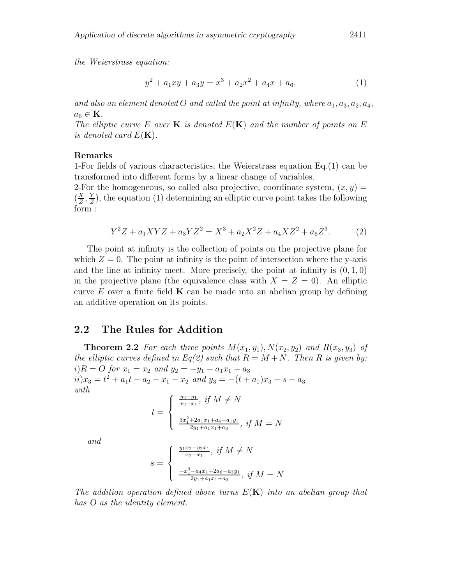*the Weierstrass equation:*

$$
y^2 + a_1xy + a_3y = x^3 + a_2x^2 + a_4x + a_6,
$$
\n(1)

and also an element denoted O and called the point at infinity, where  $a_1, a_3, a_2, a_4$ ,  $a_6 \in \mathbf{K}$ .

*The elliptic curve* E *over* **K** *is denoted* E(**K**) *and the number of points on* E *is denoted card*  $E(K)$ .

#### **Remarks**

1-For fields of various characteristics, the Weierstrass equation Eq.(1) can be transformed into different forms by a linear change of variables.

2-For the homogeneous, so called also projective, coordinate system,  $(x, y)$  =  $(\frac{X}{Z}, \frac{Y}{Z})$ , the equation (1) determining an elliptic curve point takes the following form :

$$
Y^2Z + a_1XYZ + a_3YZ^2 = X^3 + a_2X^2Z + a_4XZ^2 + a_6Z^3. \tag{2}
$$

The point at infinity is the collection of points on the projective plane for which  $Z = 0$ . The point at infinity is the point of intersection where the y-axis and the line at infinity meet. More precisely, the point at infinity is  $(0, 1, 0)$ in the projective plane (the equivalence class with  $X = Z = 0$ ). An elliptic curve  $E$  over a finite field **K** can be made into an abelian group by defining an additive operation on its points.

#### **2.2 The Rules for Addition**

**Theorem 2.2** For each three points  $M(x_1, y_1)$ ,  $N(x_2, y_2)$  and  $R(x_3, y_3)$  of *the elliptic curves defined in Eq(2) such that*  $R = M + N$ *. Then* R *is given by:*  $i)R = O$  *for*  $x_1 = x_2$  *and*  $y_2 = -y_1 - a_1x_1 - a_3$  $ii) x_3 = t^2 + a_1 t - a_2 - x_1 - x_2$  *and*  $y_3 = -(t + a_1)x_3 - s - a_3$ *with*

$$
t = \begin{cases} \frac{y_2 - y_1}{x_2 - x_1}, & \text{if } M \neq N \\ \frac{3x_1^2 + 2a_1x_1 + a_4 - a_1y_1}{2y_1 + a_1x_1 + a_3}, & \text{if } M = N \end{cases}
$$

*and*

$$
s = \begin{cases} \frac{y_1 x_2 - y_2 x_1}{x_2 - x_1}, & \text{if } M \neq N \\ \frac{-x_1^3 + a_4 x_1 + 2a_6 - a_3 y_1}{2y_1 + a_1 x_1 + a_3}, & \text{if } M = N \end{cases}
$$

*The addition operation defined above turns* E(**K**) *into an abelian group that has O as the identity element.*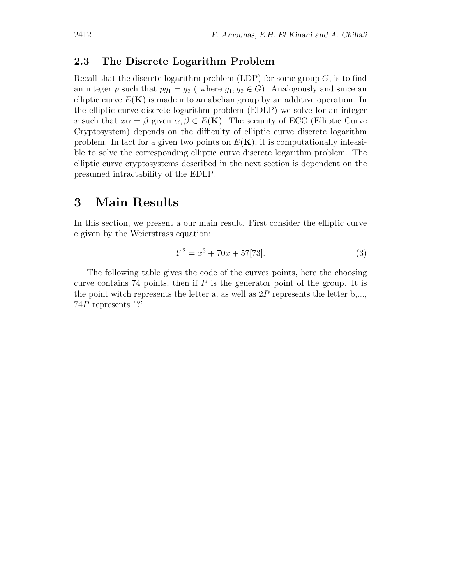#### **2.3 The Discrete Logarithm Problem**

Recall that the discrete logarithm problem (LDP) for some group  $G$ , is to find an integer p such that  $pq_1 = q_2$  (where  $q_1, q_2 \in G$ ). Analogously and since an elliptic curve  $E(\mathbf{K})$  is made into an abelian group by an additive operation. In the elliptic curve discrete logarithm problem (EDLP) we solve for an integer x such that  $x\alpha = \beta$  given  $\alpha, \beta \in E(\mathbf{K})$ . The security of ECC (Elliptic Curve Cryptosystem) depends on the difficulty of elliptic curve discrete logarithm problem. In fact for a given two points on  $E(K)$ , it is computationally infeasible to solve the corresponding elliptic curve discrete logarithm problem. The elliptic curve cryptosystems described in the next section is dependent on the presumed intractability of the EDLP.

### **3 Main Results**

In this section, we present a our main result. First consider the elliptic curve c given by the Weierstrass equation:

$$
Y^2 = x^3 + 70x + 57[73].\tag{3}
$$

The following table gives the code of the curves points, here the choosing curve contains 74 points, then if  $P$  is the generator point of the group. It is the point witch represents the letter  $a$ , as well as  $2P$  represents the letter  $b,...,$ 74P represents '?'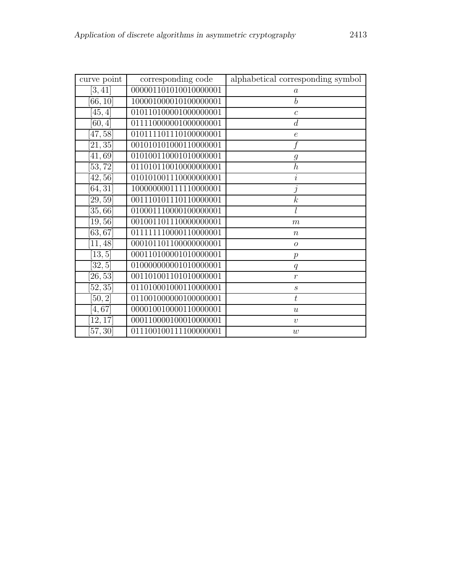| curve point           | corresponding code    | alphabetical corresponding symbol |
|-----------------------|-----------------------|-----------------------------------|
| [3, 41]               | 000001101010010000001 | $\alpha$                          |
| [66, 10]              | 100001000010100000001 | $\overline{b}$                    |
| [45, 4]               | 010110100001000000001 | $\boldsymbol{c}$                  |
| [60, 4]               | 011110000001000000001 | $\boldsymbol{d}$                  |
| [47, 58]              | 010111101110100000001 | $\epsilon$                        |
| [21, 35]              | 001010101000110000001 |                                   |
| [41, 69]              | 010100110001010000001 | $\mathfrak{g}$                    |
| [53, 72]              | 011010110010000000001 | $\overline{h}$                    |
| [42, 56]              | 010101001110000000001 | $\it i$                           |
| [64, 31]              | 100000000111110000001 | j                                 |
| [29, 59]              | 001110101110110000001 | $\overline{k}$                    |
| [35, 66]              | 010001110000100000001 |                                   |
| [19, 56]              | 001001101110000000001 | $\boldsymbol{m}$                  |
| $\sqrt{63,67}$        | 011111110000110000001 | $\boldsymbol{n}$                  |
| [11, 48]              | 000101101100000000001 | $\overline{O}$                    |
| [13, 5]               | 000110100001010000001 | $\,p\,$                           |
| [32, 5]               | 010000000001010000001 | q                                 |
| [26, 53]              | 001101001101010000001 | $\overline{r}$                    |
| $[52, 3\overline{5}]$ | 011010001000110000001 | $\boldsymbol{S}$                  |
| [50, 2]               | 011001000000100000001 | $\boldsymbol{t}$                  |
| 4,67                  | 000010010000110000001 | $\boldsymbol{u}$                  |
| [12, 17]              | 000110000100010000001 | $\upsilon$                        |
| [57, 30]              | 011100100111100000001 | w                                 |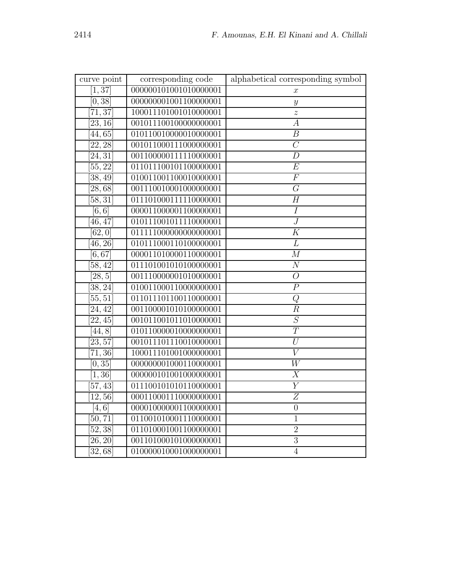| curve point          | corresponding code    | alphabetical corresponding symbol |
|----------------------|-----------------------|-----------------------------------|
| [1, 37]              | 000000101001010000001 | $\boldsymbol{x}$                  |
| [0, 38]              | 000000001001100000001 | $\boldsymbol{y}$                  |
| [71, 37]             | 100011101001010000001 | $\boldsymbol{z}$                  |
| [23, 16]             | 001011100100000000001 | $\boldsymbol{A}$                  |
| 44,65                | 010110010000010000001 | $\overline{B}$                    |
| [22, 28]             | 001011000111000000001 | $\overline{C}$                    |
| [24, 31]             | 001100000111110000001 | $\overline{D}$                    |
| $\overline{55,22}$   | 011011100101100000001 | $\overline{E}$                    |
| $\overline{38, 49}$  | 010011001100010000001 | $\overline{F}$                    |
| [28, 68]             | 001110010001000000001 | $\overline{G}$                    |
| [58, 31]             | 011101000111110000001 | $\overline{H}$                    |
| [6,6]                | 000011000001100000001 | $\cal I$                          |
| 46, 47               | 010111001011110000001 | $\boldsymbol{J}$                  |
| [62, 0]              | 011111000000000000001 | $\overline{K}$                    |
| [46, 26]             | 010111000110100000001 | L                                 |
| [6, 67]              | 000011010000110000001 | $\overline{M}$                    |
| 58,42                | 011101001010100000001 | $\overline{N}$                    |
| [28,5]               | 001110000001010000001 | $\overline{O}$                    |
| [38, 24]             | 010011000110000000001 | $\overline{P}$                    |
| [55, 51]             | 011011101100110000001 | Q                                 |
| [24, 42]             | 001100001010100000001 | $\overline{R}$                    |
| [22, 45]             | 001011001011010000001 | $\overline{S}$                    |
| [44, 8]              | 010110000010000000001 | $\overline{T}$                    |
| $\overline{23,57}$   | 001011101110010000001 | $\overline{U}$                    |
| [71, 36]             | 100011101001000000001 | $\overline{V}$                    |
| [0, 35]              | 000000001000110000001 | $\overline{W}$                    |
| [1, 36]              | 000000101001000000001 | $\overline{X}$                    |
| $[57,\overline{43}]$ | 011100101010110000001 | $\overline{Y}$                    |
| [12, 56]             | 000110001110000000001 | $\overline{Z}$                    |
| [4, 6]               | 000010000001100000001 | $\overline{0}$                    |
| [50, 71]             | 011001010001110000001 | $\mathbf{1}$                      |
| [52, 38]             | 011010001001100000001 | $\overline{2}$                    |
| [26, 20]             | 001101000101000000001 | $\overline{3}$                    |
| 32,68                | 010000010001000000001 | $\overline{4}$                    |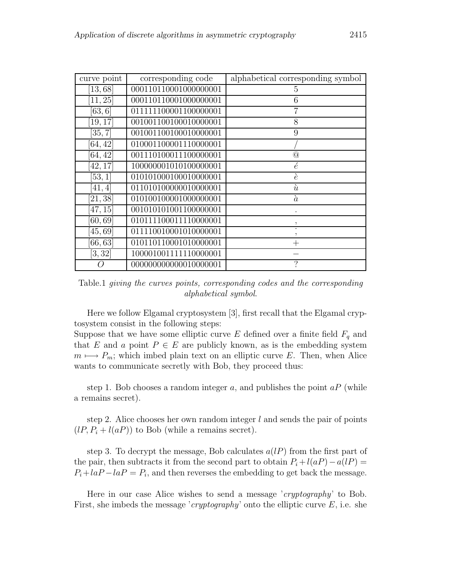| curve point          | corresponding code    | alphabetical corresponding symbol |
|----------------------|-----------------------|-----------------------------------|
| [13, 68]             | 000110110001000000001 | 5                                 |
| [11, 25]             | 000110110001000000001 | 6                                 |
| [63, 6]              | 011111100001100000001 | 7                                 |
| [19, 17]             | 001001100100010000001 | 8                                 |
| [35, 7]              | 001001100100010000001 | 9                                 |
| [64, 42]             | 010001100001110000001 |                                   |
| [64, 42]             | 001110100011100000001 | $^{\copyright}$                   |
| $\left[42,17\right]$ | 100000001010100000001 | $\acute{e}$                       |
| [53,1]               | 010101000100010000001 | è                                 |
| [41, 4]              | 011010100000010000001 | $\dot{u}$                         |
| [21, 38]             | 010100100001000000001 | $\alpha$                          |
| [47, 15]             | 001010101001100000001 |                                   |
| [60, 69]             | 010111100011110000001 |                                   |
| [45, 69]             | 011110010001010000001 |                                   |
| [66, 63]             | 010110110001010000001 |                                   |
| [3, 32]              | 100001001111110000001 |                                   |
|                      | 000000000000010000001 | $\gamma$                          |

Table.1 *giving the curves points, corresponding codes and the corresponding alphabetical symbol*.

Here we follow Elgamal cryptosystem [3], first recall that the Elgamal cryptosystem consist in the following steps:

Suppose that we have some elliptic curve  $E$  defined over a finite field  $F_q$  and that E and a point  $P \in E$  are publicly known, as is the embedding system  $m \mapsto P_m$ ; which imbed plain text on an elliptic curve E. Then, when Alice wants to communicate secretly with Bob, they proceed thus:

step 1. Bob chooses a random integer a, and publishes the point  $aP$  (while a remains secret).

step 2. Alice chooses her own random integer  $l$  and sends the pair of points  $(lP, P_i + l(aP))$  to Bob (while a remains secret).

step 3. To decrypt the message, Bob calculates  $a(lP)$  from the first part of the pair, then subtracts it from the second part to obtain  $P_i + l(aP) - a(1P) =$  $P_i + \frac{la - I}{2} = P_i$ , and then reverses the embedding to get back the message.

Here in our case Alice wishes to send a message '*cryptography*' to Bob. First, she imbeds the message '*cryptography*' onto the elliptic curve E, i.e. she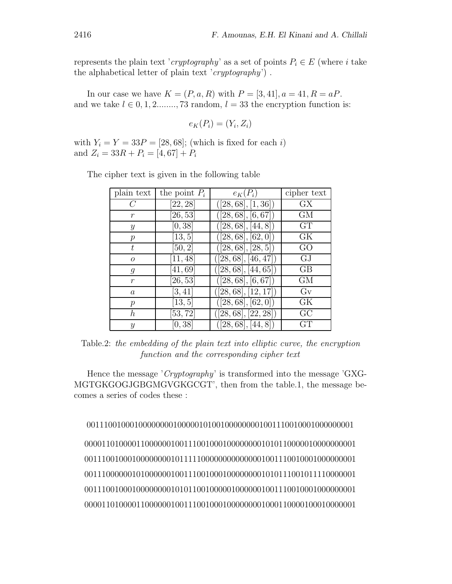represents the plain text '*cryptography*' as a set of points  $P_i \in E$  (where i take the alphabetical letter of plain text '*cryptography*') .

In our case we have  $K = (P, a, R)$  with  $P = [3, 41], a = 41, R = aP$ . and we take  $l \in 0, 1, 2, \ldots, 73$  random,  $l = 33$  the encryption function is:

$$
e_K(P_i) = (Y_i, Z_i)
$$

with  $Y_i = Y = 33P = [28, 68]$ ; (which is fixed for each i) and  $Z_i = 33R + P_i = [4, 67] + P_i$ 

| plain text       | the point $P_i$ | $e_K(P_i)$           | cipher text |
|------------------|-----------------|----------------------|-------------|
| C                | [22, 28]        | ([28, 68], [1, 36])  | GX          |
| r                | [26, 53]        | ([28, 68], [6, 67])  | GМ          |
| Y                | [0, 38]         | ([28, 68], [44, 8])  | <b>GT</b>   |
| $\,p$            | [13, 5]         | ([28, 68], [62, 0])  | GК          |
| t.               | [50, 2]         | ([28, 68], [28, 5])  | GO          |
| 0                | [11, 48]        | ([28, 68], [46, 47]) | GJ          |
| g                | [41, 69]        | ([28, 68], [44, 65]) | GВ          |
| $\boldsymbol{r}$ | [26, 53]        | ([28, 68], [6, 67])  | GМ          |
| $\boldsymbol{a}$ | [3, 41]         | ([28, 68], [12, 17]) | $G_V$       |
| $\,p$            | [13, 5]         | ([28, 68], [62, 0])  | GК          |
| h                | [53, 72]        | ([28, 68], [22, 28]) | GC          |
| Y                | [0, 38]         | ([28, 68], [44, 8])  | GT          |

The cipher text is given in the following table

Table.2: *the embedding of the plain text into elliptic curve, the encryption function and the corresponding cipher text*

Hence the message '*Cryptography*' is transformed into the message 'GXG-MGTGKGOGJGBGMGVGKGCGT', then from the table.1, the message becomes a series of codes these :

00111001000100000000100000101001000000001001110010001000000001

000011010000110000001001110010001000000001010110000010000000001 001110010001000000001011111000000000000001001110010001000000001 001110000001010000001001110010001000000001010111001011110000001 001110010001000000001010110010000010000001001110010001000000001 000011010000110000001001110010001000000001000110000100010000001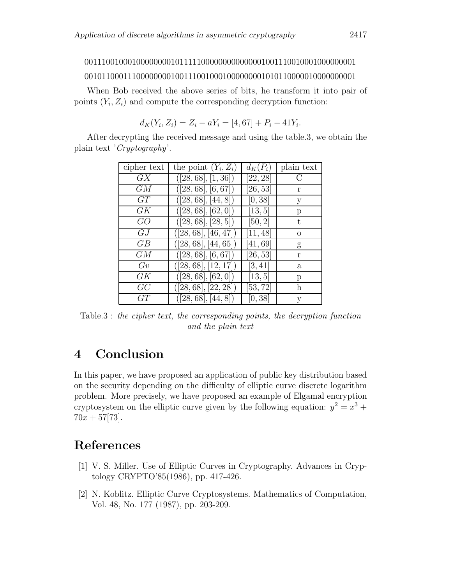# 001110010001000000001011111000000000000001001110010001000000001

#### 001011000111000000001001110010001000000001010110000010000000001

When Bob received the above series of bits, he transform it into pair of points  $(Y_i, Z_i)$  and compute the corresponding decryption function:

$$
d_K(Y_i, Z_i) = Z_i - aY_i = [4, 67] + P_i - 41Y_i.
$$

After decrypting the received message and using the table.3, we obtain the plain text '*Cryptography*'.

| cipher text | the point $(Y_i, Z_i)$ | $d_K(P_i)$ | plain text     |
|-------------|------------------------|------------|----------------|
| GX          | ([28, 68], [1, 36])    | [22, 28]   | $\overline{C}$ |
| GM          | ([28, 68], [6, 67])    | [26, 53]   | r              |
| GT          | ([28, 68], [44, 8])    | [0, 38]    | у              |
| GK          | ([28, 68], [62, 0])    | [13, 5]    | р              |
| GO          | ([28, 68], [28, 5])    | [50, 2]    | t.             |
| G.I         | ([28, 68], [46, 47])   | [11, 48]   | $\Omega$       |
| GB          | ([28, 68], [44, 65])   | [41, 69]   | g              |
| GМ          | ([28, 68], [6, 67])    | [26, 53]   | r              |
| Gv          | ([28, 68], [12, 17])   | [3, 41]    | $\mathbf a$    |
| GК          | ([28, 68], [62, 0])    | [13, 5]    | р              |
| GC          | ([28, 68], [22, 28])   | [53, 72]   | h              |
| GT          | ([28, 68], [44, 8])    | [0, 38]    | V              |

Table.3 : *the cipher text, the corresponding points, the decryption function and the plain text*

# **4 Conclusion**

In this paper, we have proposed an application of public key distribution based on the security depending on the difficulty of elliptic curve discrete logarithm problem. More precisely, we have proposed an example of Elgamal encryption cryptosystem on the elliptic curve given by the following equation:  $y^2 = x^3 +$  $70x + 57[73]$ .

# **References**

- [1] V. S. Miller. Use of Elliptic Curves in Cryptography. Advances in Cryptology CRYPTO'85(1986), pp. 417-426.
- [2] N. Koblitz. Elliptic Curve Cryptosystems. Mathematics of Computation, Vol. 48, No. 177 (1987), pp. 203-209.